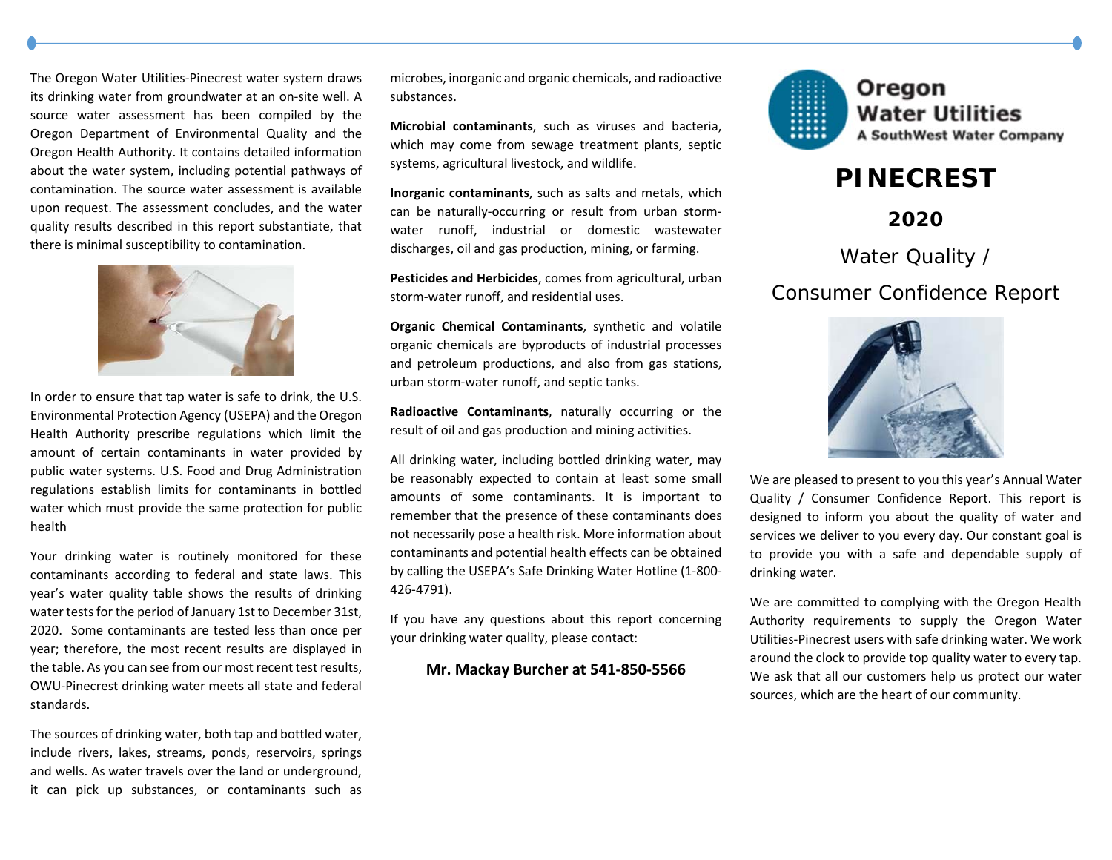The Oregon Water Utilities‐Pinecrest water system draws its drinking water from groundwater at an on‐site well. A source water assessment has been compiled by the Oregon Department of Environmental Quality and the Oregon Health Authority. It contains detailed information about the water system, including potential pathways of contamination. The source water assessment is available upon request. The assessment concludes, and the water quality results described in this report substantiate, that there is minimal susceptibility to contamination.



In order to ensure that tap water is safe to drink, the U.S. Environmental Protection Agency (USEPA) and the Oregon Health Authority prescribe regulations which limit the amount of certain contaminants in water provided by public water systems. U.S. Food and Drug Administration regulations establish limits for contaminants in bottled water which must provide the same protection for public health

Your drinking water is routinely monitored for these contaminants according to federal and state laws. This year's water quality table shows the results of drinking water tests for the period of January 1st to December 31st, 2020. Some contaminants are tested less than once per year; therefore, the most recent results are displayed in the table. As you can see from our most recent test results, OWU‐Pinecrest drinking water meets all state and federal standards.

The sources of drinking water, both tap and bottled water, include rivers, lakes, streams, ponds, reservoirs, springs and wells. As water travels over the land or underground, it can pick up substances, or contaminants such as

microbes, inorganic and organic chemicals, and radioactive substances.

**Microbial contaminants**, such as viruses and bacteria, which may come from sewage treatment plants, septic systems, agricultural livestock, and wildlife.

**Inorganic contaminants**, such as salts and metals, which can be naturally‐occurring or result from urban storm‐ water runoff, industrial or domestic wastewater discharges, oil and gas production, mining, or farming.

**Pesticides and Herbicides**, comes from agricultural, urban storm‐water runoff, and residential uses.

**Organic Chemical Contaminants**, synthetic and volatile organic chemicals are byproducts of industrial processes and petroleum productions, and also from gas stations, urban storm‐water runoff, and septic tanks.

**Radioactive Contaminants**, naturally occurring or the result of oil and gas production and mining activities.

All drinking water, including bottled drinking water, may be reasonably expected to contain at least some small amounts of some contaminants. It is important to remember that the presence of these contaminants does not necessarily pose a health risk. More information about contaminants and potential health effects can be obtained by calling the USEPA's Safe Drinking Water Hotline (1‐800‐ 426‐4791).

If you have any questions about this report concerning your drinking water quality, please contact:

## **Mr. Mackay Burcher at 541‐850‐5566**



## **PINECREST**

**2020** 

Water Quality /

## Consumer Confidence Report



We are pleased to present to you this year's Annual Water Quality / Consumer Confidence Report. This report is designed to inform you about the quality of water and services we deliver to you every day. Our constant goal is to provide you with <sup>a</sup> safe and dependable supply of drinking water.

We are committed to complying with the Oregon Health Authority requirements to supply the Oregon Water Utilities‐Pinecrest users with safe drinking water. We work around the clock to provide top quality water to every tap. We ask that all our customers help us protect our water sources, which are the heart of our community.